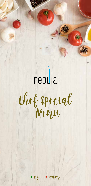## nebula Chef Special Menu



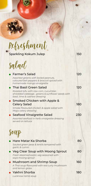Refreshment

Sparkling Kokum Julep 150

| Salad                                                                                                                                               |     |
|-----------------------------------------------------------------------------------------------------------------------------------------------------|-----|
| <b>Farmer's Salad</b><br>Assorted greens with boiled peanuts,<br>coloured bell peppers & broccoli spiced with<br>homemade mango vinaigrette         | 120 |
| Thai Basil Green Salad<br>Roasted tofu with raw corn, cucumber,<br>shredded cabbage, greens & sunflower seeds with<br>basil, lime & cashew dressing | 120 |
| Smoked Chicken with Apple &<br><b>Celery Salad</b><br>Smoke flavoured chicken & apple salad with<br>Mayo celery dressing                            | 180 |
| Seafood Vinaigrette Salad<br>Assorted seafood in herb vinaigrette dressing<br>served on lettuce                                                     | 230 |
| Soup                                                                                                                                                |     |
| Hare Matar Ka Shorba<br>Sauted green peas & lentils tempered with<br>garlic & cumin                                                                 | 80  |
| Veg Clear Soup with Moong Sprout<br>Fresh steamed exotic veg seasoned with<br>soya moong sprout                                                     | 80  |
| <b>Mushroom and Shrimp Soup</b><br>A Thai soup flavoured with red curry mushroom<br>and lemon grass                                                 | 160 |
| Yakhni Shorba<br>Lucknowi lamb soup                                                                                                                 | 180 |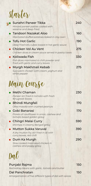## Starter

| Sunehri Paneer Tikka<br>Minced paneer patties coated with<br>sesame and deep-fried                         | 240 |
|------------------------------------------------------------------------------------------------------------|-----|
| <b>• Tandoori Nazakat Aloo</b><br>Marinated stuffed potatoes baked in clay oven                            | 160 |
| $\bullet$ Tofu Hot Garlic<br>Deep fried tofu cubes tossed in hot garlic sauce                              | 190 |
| • Chicken Vol Au Vent<br>Chicken dices in cream sauce served in pastry cases                               | 275 |
| $\bullet$ Koliwada Fish<br>Fish dices marinated in chilli powder and<br>fried with garlic and curry leaves | 330 |
| <b>• Murgh Makhmali Kebab</b><br>Succulent chicken with cream, yoghurt and<br>white pepper                 | 275 |
| Main Course                                                                                                |     |

| <b>• Methi Chaman</b>                                                    | 230 |
|--------------------------------------------------------------------------|-----|
| Paneer stir fried in tomato with fresh<br>fenugreek leaves               |     |
| • Bhindi Mungfali                                                        | 170 |
| Okra masala with crushed peanuts                                         |     |
| $\bullet$ Gobi Banarasi                                                  | 170 |
| Florets of cauliflower in onion, cashew and<br>tomato based golden gravy |     |
| • Chingri Malai Curry                                                    | 590 |
| Shrimps in creamy Bengali gravy                                          |     |
| • Mutton Sukka Varuval                                                   | 390 |
| A dry mutton fry, stir fried in oil with<br>curry leaves, red chilli     |     |
| • Dum Ka Murgh                                                           | 290 |
| Slow cooked marinated chicken in                                         |     |
| cashew and poppy gravy                                                   |     |



| Punjabi Rajma                                           | 150 |
|---------------------------------------------------------|-----|
| Red kidney beans with garlic, tomato and butter         |     |
| Dal Panchratan                                          | 150 |
| Amalgamation of five different types of dal with spices |     |